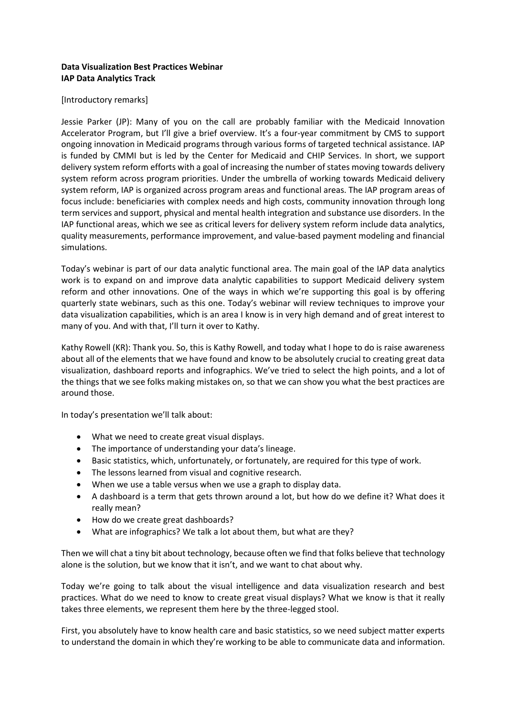## **Data Visualization Best Practices Webinar IAP Data Analytics Track**

## [Introductory remarks]

Jessie Parker (JP): Many of you on the call are probably familiar with the Medicaid Innovation Accelerator Program, but I'll give a brief overview. It's a four-year commitment by CMS to support ongoing innovation in Medicaid programs through various forms of targeted technical assistance. IAP is funded by CMMI but is led by the Center for Medicaid and CHIP Services. In short, we support delivery system reform efforts with a goal of increasing the number of states moving towards delivery system reform across program priorities. Under the umbrella of working towards Medicaid delivery system reform, IAP is organized across program areas and functional areas. The IAP program areas of focus include: beneficiaries with complex needs and high costs, community innovation through long term services and support, physical and mental health integration and substance use disorders. In the IAP functional areas, which we see as critical levers for delivery system reform include data analytics, quality measurements, performance improvement, and value-based payment modeling and financial simulations.

Today's webinar is part of our data analytic functional area. The main goal of the IAP data analytics work is to expand on and improve data analytic capabilities to support Medicaid delivery system reform and other innovations. One of the ways in which we're supporting this goal is by offering quarterly state webinars, such as this one. Today's webinar will review techniques to improve your data visualization capabilities, which is an area I know is in very high demand and of great interest to many of you. And with that, I'll turn it over to Kathy.

Kathy Rowell (KR): Thank you. So, this is Kathy Rowell, and today what I hope to do is raise awareness about all of the elements that we have found and know to be absolutely crucial to creating great data visualization, dashboard reports and infographics. We've tried to select the high points, and a lot of the things that we see folks making mistakes on, so that we can show you what the best practices are around those.

In today's presentation we'll talk about:

- What we need to create great visual displays.
- The importance of understanding your data's lineage.
- Basic statistics, which, unfortunately, or fortunately, are required for this type of work.
- The lessons learned from visual and cognitive research.
- When we use a table versus when we use a graph to display data.
- A dashboard is a term that gets thrown around a lot, but how do we define it? What does it really mean?
- How do we create great dashboards?
- What are infographics? We talk a lot about them, but what are they?

Then we will chat a tiny bit about technology, because often we find that folks believe that technology alone is the solution, but we know that it isn't, and we want to chat about why.

Today we're going to talk about the visual intelligence and data visualization research and best practices. What do we need to know to create great visual displays? What we know is that it really takes three elements, we represent them here by the three-legged stool.

First, you absolutely have to know health care and basic statistics, so we need subject matter experts to understand the domain in which they're working to be able to communicate data and information.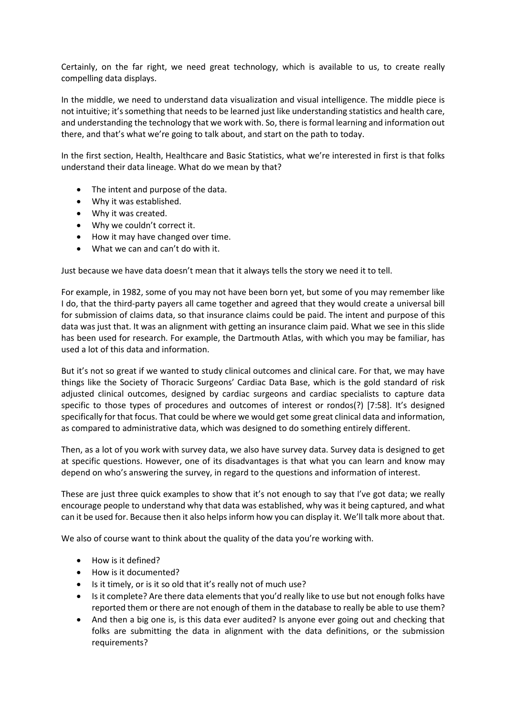Certainly, on the far right, we need great technology, which is available to us, to create really compelling data displays.

In the middle, we need to understand data visualization and visual intelligence. The middle piece is not intuitive; it's something that needs to be learned just like understanding statistics and health care, and understanding the technology that we work with. So, there is formal learning and information out there, and that's what we're going to talk about, and start on the path to today.

In the first section, Health, Healthcare and Basic Statistics, what we're interested in first is that folks understand their data lineage. What do we mean by that?

- The intent and purpose of the data.
- Why it was established.
- Why it was created.
- Why we couldn't correct it.
- How it may have changed over time.
- What we can and can't do with it.

Just because we have data doesn't mean that it always tells the story we need it to tell.

For example, in 1982, some of you may not have been born yet, but some of you may remember like I do, that the third-party payers all came together and agreed that they would create a universal bill for submission of claims data, so that insurance claims could be paid. The intent and purpose of this data was just that. It was an alignment with getting an insurance claim paid. What we see in this slide has been used for research. For example, the Dartmouth Atlas, with which you may be familiar, has used a lot of this data and information.

But it's not so great if we wanted to study clinical outcomes and clinical care. For that, we may have things like the Society of Thoracic Surgeons' Cardiac Data Base, which is the gold standard of risk adjusted clinical outcomes, designed by cardiac surgeons and cardiac specialists to capture data specific to those types of procedures and outcomes of interest or rondos(?) [7:58]. It's designed specifically for that focus. That could be where we would get some great clinical data and information, as compared to administrative data, which was designed to do something entirely different.

Then, as a lot of you work with survey data, we also have survey data. Survey data is designed to get at specific questions. However, one of its disadvantages is that what you can learn and know may depend on who's answering the survey, in regard to the questions and information of interest.

These are just three quick examples to show that it's not enough to say that I've got data; we really encourage people to understand why that data was established, why was it being captured, and what can it be used for. Because then it also helps inform how you can display it. We'll talk more about that.

We also of course want to think about the quality of the data you're working with.

- How is it defined?
- How is it documented?
- Is it timely, or is it so old that it's really not of much use?
- Is it complete? Are there data elements that you'd really like to use but not enough folks have reported them or there are not enough of them in the database to really be able to use them?
- And then a big one is, is this data ever audited? Is anyone ever going out and checking that folks are submitting the data in alignment with the data definitions, or the submission requirements?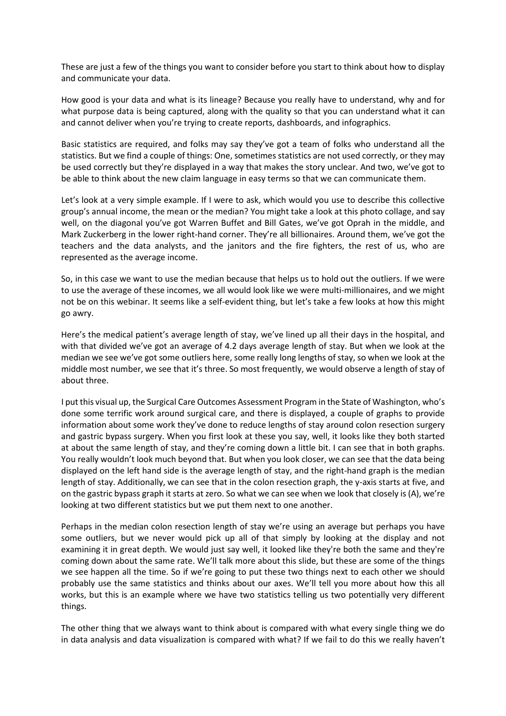These are just a few of the things you want to consider before you start to think about how to display and communicate your data.

How good is your data and what is its lineage? Because you really have to understand, why and for what purpose data is being captured, along with the quality so that you can understand what it can and cannot deliver when you're trying to create reports, dashboards, and infographics.

Basic statistics are required, and folks may say they've got a team of folks who understand all the statistics. But we find a couple of things: One, sometimes statistics are not used correctly, or they may be used correctly but they're displayed in a way that makes the story unclear. And two, we've got to be able to think about the new claim language in easy terms so that we can communicate them.

Let's look at a very simple example. If I were to ask, which would you use to describe this collective group's annual income, the mean or the median? You might take a look at this photo collage, and say well, on the diagonal you've got Warren Buffet and Bill Gates, we've got Oprah in the middle, and Mark Zuckerberg in the lower right-hand corner. They're all billionaires. Around them, we've got the teachers and the data analysts, and the janitors and the fire fighters, the rest of us, who are represented as the average income.

So, in this case we want to use the median because that helps us to hold out the outliers. If we were to use the average of these incomes, we all would look like we were multi-millionaires, and we might not be on this webinar. It seems like a self-evident thing, but let's take a few looks at how this might go awry.

Here's the medical patient's average length of stay, we've lined up all their days in the hospital, and with that divided we've got an average of 4.2 days average length of stay. But when we look at the median we see we've got some outliers here, some really long lengths of stay, so when we look at the middle most number, we see that it's three. So most frequently, we would observe a length of stay of about three.

I put this visual up, the Surgical Care Outcomes Assessment Program in the State of Washington, who's done some terrific work around surgical care, and there is displayed, a couple of graphs to provide information about some work they've done to reduce lengths of stay around colon resection surgery and gastric bypass surgery. When you first look at these you say, well, it looks like they both started at about the same length of stay, and they're coming down a little bit. I can see that in both graphs. You really wouldn't look much beyond that. But when you look closer, we can see that the data being displayed on the left hand side is the average length of stay, and the right-hand graph is the median length of stay. Additionally, we can see that in the colon resection graph, the y-axis starts at five, and on the gastric bypass graph it starts at zero. So what we can see when we look that closely is (A), we're looking at two different statistics but we put them next to one another.

Perhaps in the median colon resection length of stay we're using an average but perhaps you have some outliers, but we never would pick up all of that simply by looking at the display and not examining it in great depth. We would just say well, it looked like they're both the same and they're coming down about the same rate. We'll talk more about this slide, but these are some of the things we see happen all the time. So if we're going to put these two things next to each other we should probably use the same statistics and thinks about our axes. We'll tell you more about how this all works, but this is an example where we have two statistics telling us two potentially very different things.

The other thing that we always want to think about is compared with what every single thing we do in data analysis and data visualization is compared with what? If we fail to do this we really haven't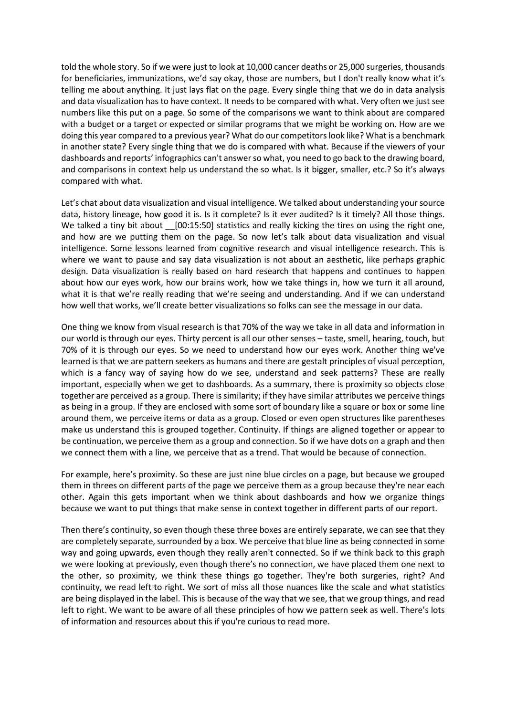told the whole story. So if we were just to look at 10,000 cancer deaths or 25,000 surgeries, thousands for beneficiaries, immunizations, we'd say okay, those are numbers, but I don't really know what it's telling me about anything. It just lays flat on the page. Every single thing that we do in data analysis and data visualization has to have context. It needs to be compared with what. Very often we just see numbers like this put on a page. So some of the comparisons we want to think about are compared with a budget or a target or expected or similar programs that we might be working on. How are we doing this year compared to a previous year? What do our competitors look like? What is a benchmark in another state? Every single thing that we do is compared with what. Because if the viewers of your dashboards and reports' infographics can't answer so what, you need to go back to the drawing board, and comparisons in context help us understand the so what. Is it bigger, smaller, etc.? So it's always compared with what.

Let's chat about data visualization and visual intelligence. We talked about understanding your source data, history lineage, how good it is. Is it complete? Is it ever audited? Is it timely? All those things. We talked a tiny bit about \_\_[00:15:50] statistics and really kicking the tires on using the right one, and how are we putting them on the page. So now let's talk about data visualization and visual intelligence. Some lessons learned from cognitive research and visual intelligence research. This is where we want to pause and say data visualization is not about an aesthetic, like perhaps graphic design. Data visualization is really based on hard research that happens and continues to happen about how our eyes work, how our brains work, how we take things in, how we turn it all around, what it is that we're really reading that we're seeing and understanding. And if we can understand how well that works, we'll create better visualizations so folks can see the message in our data.

One thing we know from visual research is that 70% of the way we take in all data and information in our world is through our eyes. Thirty percent is all our other senses – taste, smell, hearing, touch, but 70% of it is through our eyes. So we need to understand how our eyes work. Another thing we've learned is that we are pattern seekers as humans and there are gestalt principles of visual perception, which is a fancy way of saying how do we see, understand and seek patterns? These are really important, especially when we get to dashboards. As a summary, there is proximity so objects close together are perceived as a group. There is similarity; if they have similar attributes we perceive things as being in a group. If they are enclosed with some sort of boundary like a square or box or some line around them, we perceive items or data as a group. Closed or even open structures like parentheses make us understand this is grouped together. Continuity. If things are aligned together or appear to be continuation, we perceive them as a group and connection. So if we have dots on a graph and then we connect them with a line, we perceive that as a trend. That would be because of connection.

For example, here's proximity. So these are just nine blue circles on a page, but because we grouped them in threes on different parts of the page we perceive them as a group because they're near each other. Again this gets important when we think about dashboards and how we organize things because we want to put things that make sense in context together in different parts of our report.

Then there's continuity, so even though these three boxes are entirely separate, we can see that they are completely separate, surrounded by a box. We perceive that blue line as being connected in some way and going upwards, even though they really aren't connected. So if we think back to this graph we were looking at previously, even though there's no connection, we have placed them one next to the other, so proximity, we think these things go together. They're both surgeries, right? And continuity, we read left to right. We sort of miss all those nuances like the scale and what statistics are being displayed in the label. This is because of the way that we see, that we group things, and read left to right. We want to be aware of all these principles of how we pattern seek as well. There's lots of information and resources about this if you're curious to read more.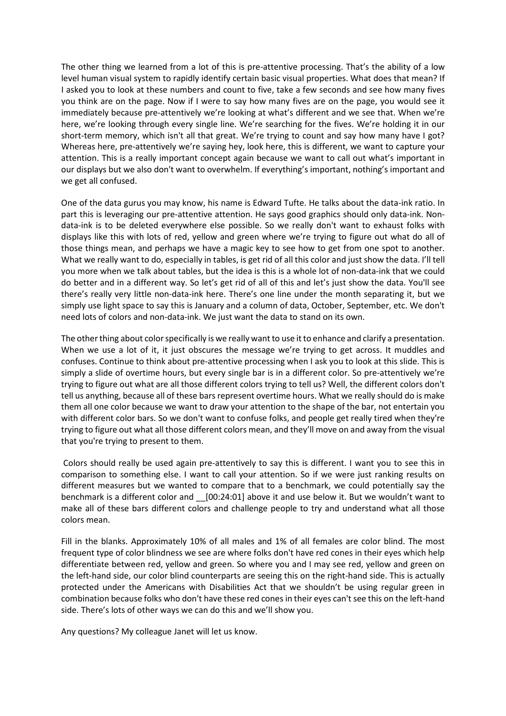The other thing we learned from a lot of this is pre-attentive processing. That's the ability of a low level human visual system to rapidly identify certain basic visual properties. What does that mean? If I asked you to look at these numbers and count to five, take a few seconds and see how many fives you think are on the page. Now if I were to say how many fives are on the page, you would see it immediately because pre-attentively we're looking at what's different and we see that. When we're here, we're looking through every single line. We're searching for the fives. We're holding it in our short-term memory, which isn't all that great. We're trying to count and say how many have I got? Whereas here, pre-attentively we're saying hey, look here, this is different, we want to capture your attention. This is a really important concept again because we want to call out what's important in our displays but we also don't want to overwhelm. If everything's important, nothing's important and we get all confused.

One of the data gurus you may know, his name is Edward Tufte. He talks about the data-ink ratio. In part this is leveraging our pre-attentive attention. He says good graphics should only data-ink. Nondata-ink is to be deleted everywhere else possible. So we really don't want to exhaust folks with displays like this with lots of red, yellow and green where we're trying to figure out what do all of those things mean, and perhaps we have a magic key to see how to get from one spot to another. What we really want to do, especially in tables, is get rid of all this color and just show the data. I'll tell you more when we talk about tables, but the idea is this is a whole lot of non-data-ink that we could do better and in a different way. So let's get rid of all of this and let's just show the data. You'll see there's really very little non-data-ink here. There's one line under the month separating it, but we simply use light space to say this is January and a column of data, October, September, etc. We don't need lots of colors and non-data-ink. We just want the data to stand on its own.

The other thing about color specifically is we really want to use it to enhance and clarify a presentation. When we use a lot of it, it just obscures the message we're trying to get across. It muddles and confuses. Continue to think about pre-attentive processing when I ask you to look at this slide. This is simply a slide of overtime hours, but every single bar is in a different color. So pre-attentively we're trying to figure out what are all those different colors trying to tell us? Well, the different colors don't tell us anything, because all of these bars represent overtime hours. What we really should do is make them all one color because we want to draw your attention to the shape of the bar, not entertain you with different color bars. So we don't want to confuse folks, and people get really tired when they're trying to figure out what all those different colors mean, and they'll move on and away from the visual that you're trying to present to them.

Colors should really be used again pre-attentively to say this is different. I want you to see this in comparison to something else. I want to call your attention. So if we were just ranking results on different measures but we wanted to compare that to a benchmark, we could potentially say the benchmark is a different color and \_\_[00:24:01] above it and use below it. But we wouldn't want to make all of these bars different colors and challenge people to try and understand what all those colors mean.

Fill in the blanks. Approximately 10% of all males and 1% of all females are color blind. The most frequent type of color blindness we see are where folks don't have red cones in their eyes which help differentiate between red, yellow and green. So where you and I may see red, yellow and green on the left-hand side, our color blind counterparts are seeing this on the right-hand side. This is actually protected under the Americans with Disabilities Act that we shouldn't be using regular green in combination because folks who don't have these red cones in their eyes can't see this on the left-hand side. There's lots of other ways we can do this and we'll show you.

Any questions? My colleague Janet will let us know.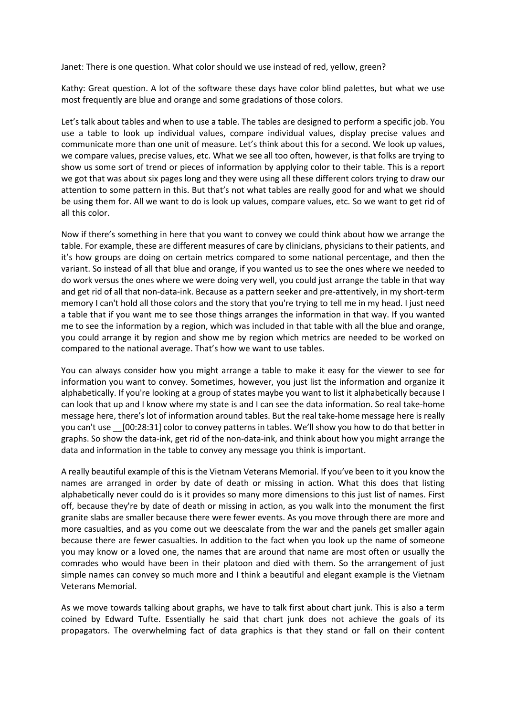Janet: There is one question. What color should we use instead of red, yellow, green?

Kathy: Great question. A lot of the software these days have color blind palettes, but what we use most frequently are blue and orange and some gradations of those colors.

Let's talk about tables and when to use a table. The tables are designed to perform a specific job. You use a table to look up individual values, compare individual values, display precise values and communicate more than one unit of measure. Let's think about this for a second. We look up values, we compare values, precise values, etc. What we see all too often, however, is that folks are trying to show us some sort of trend or pieces of information by applying color to their table. This is a report we got that was about six pages long and they were using all these different colors trying to draw our attention to some pattern in this. But that's not what tables are really good for and what we should be using them for. All we want to do is look up values, compare values, etc. So we want to get rid of all this color.

Now if there's something in here that you want to convey we could think about how we arrange the table. For example, these are different measures of care by clinicians, physicians to their patients, and it's how groups are doing on certain metrics compared to some national percentage, and then the variant. So instead of all that blue and orange, if you wanted us to see the ones where we needed to do work versus the ones where we were doing very well, you could just arrange the table in that way and get rid of all that non-data-ink. Because as a pattern seeker and pre-attentively, in my short-term memory I can't hold all those colors and the story that you're trying to tell me in my head. I just need a table that if you want me to see those things arranges the information in that way. If you wanted me to see the information by a region, which was included in that table with all the blue and orange, you could arrange it by region and show me by region which metrics are needed to be worked on compared to the national average. That's how we want to use tables.

You can always consider how you might arrange a table to make it easy for the viewer to see for information you want to convey. Sometimes, however, you just list the information and organize it alphabetically. If you're looking at a group of states maybe you want to list it alphabetically because I can look that up and I know where my state is and I can see the data information. So real take-home message here, there's lot of information around tables. But the real take-home message here is really you can't use \_\_[00:28:31] color to convey patterns in tables. We'll show you how to do that better in graphs. So show the data-ink, get rid of the non-data-ink, and think about how you might arrange the data and information in the table to convey any message you think is important.

A really beautiful example of this is the Vietnam Veterans Memorial. If you've been to it you know the names are arranged in order by date of death or missing in action. What this does that listing alphabetically never could do is it provides so many more dimensions to this just list of names. First off, because they're by date of death or missing in action, as you walk into the monument the first granite slabs are smaller because there were fewer events. As you move through there are more and more casualties, and as you come out we deescalate from the war and the panels get smaller again because there are fewer casualties. In addition to the fact when you look up the name of someone you may know or a loved one, the names that are around that name are most often or usually the comrades who would have been in their platoon and died with them. So the arrangement of just simple names can convey so much more and I think a beautiful and elegant example is the Vietnam Veterans Memorial.

As we move towards talking about graphs, we have to talk first about chart junk. This is also a term coined by Edward Tufte. Essentially he said that chart junk does not achieve the goals of its propagators. The overwhelming fact of data graphics is that they stand or fall on their content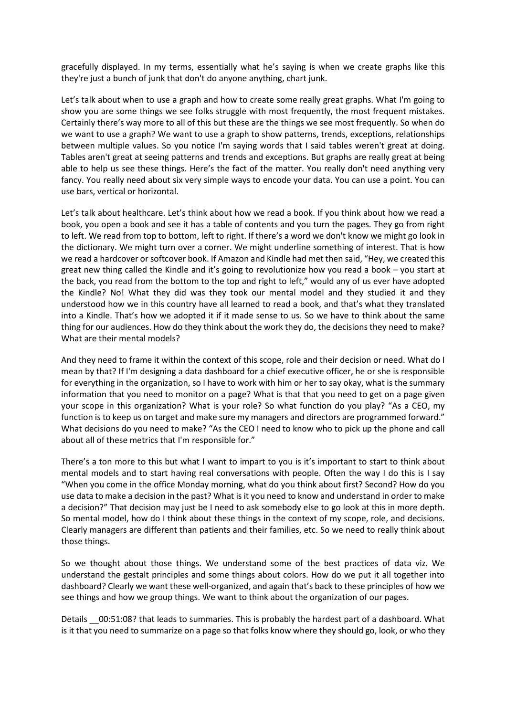gracefully displayed. In my terms, essentially what he's saying is when we create graphs like this they're just a bunch of junk that don't do anyone anything, chart junk.

Let's talk about when to use a graph and how to create some really great graphs. What I'm going to show you are some things we see folks struggle with most frequently, the most frequent mistakes. Certainly there's way more to all of this but these are the things we see most frequently. So when do we want to use a graph? We want to use a graph to show patterns, trends, exceptions, relationships between multiple values. So you notice I'm saying words that I said tables weren't great at doing. Tables aren't great at seeing patterns and trends and exceptions. But graphs are really great at being able to help us see these things. Here's the fact of the matter. You really don't need anything very fancy. You really need about six very simple ways to encode your data. You can use a point. You can use bars, vertical or horizontal.

Let's talk about healthcare. Let's think about how we read a book. If you think about how we read a book, you open a book and see it has a table of contents and you turn the pages. They go from right to left. We read from top to bottom, left to right. If there's a word we don't know we might go look in the dictionary. We might turn over a corner. We might underline something of interest. That is how we read a hardcover or softcover book. If Amazon and Kindle had met then said, "Hey, we created this great new thing called the Kindle and it's going to revolutionize how you read a book – you start at the back, you read from the bottom to the top and right to left," would any of us ever have adopted the Kindle? No! What they did was they took our mental model and they studied it and they understood how we in this country have all learned to read a book, and that's what they translated into a Kindle. That's how we adopted it if it made sense to us. So we have to think about the same thing for our audiences. How do they think about the work they do, the decisions they need to make? What are their mental models?

And they need to frame it within the context of this scope, role and their decision or need. What do I mean by that? If I'm designing a data dashboard for a chief executive officer, he or she is responsible for everything in the organization, so I have to work with him or her to say okay, what is the summary information that you need to monitor on a page? What is that that you need to get on a page given your scope in this organization? What is your role? So what function do you play? "As a CEO, my function is to keep us on target and make sure my managers and directors are programmed forward." What decisions do you need to make? "As the CEO I need to know who to pick up the phone and call about all of these metrics that I'm responsible for."

There's a ton more to this but what I want to impart to you is it's important to start to think about mental models and to start having real conversations with people. Often the way I do this is I say "When you come in the office Monday morning, what do you think about first? Second? How do you use data to make a decision in the past? What is it you need to know and understand in order to make a decision?" That decision may just be I need to ask somebody else to go look at this in more depth. So mental model, how do I think about these things in the context of my scope, role, and decisions. Clearly managers are different than patients and their families, etc. So we need to really think about those things.

So we thought about those things. We understand some of the best practices of data viz. We understand the gestalt principles and some things about colors. How do we put it all together into dashboard? Clearly we want these well-organized, and again that's back to these principles of how we see things and how we group things. We want to think about the organization of our pages.

Details 00:51:08? that leads to summaries. This is probably the hardest part of a dashboard. What is it that you need to summarize on a page so that folks know where they should go, look, or who they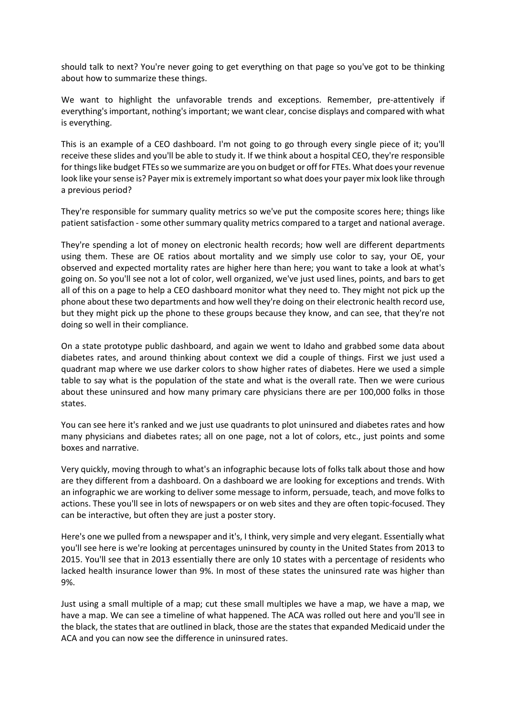should talk to next? You're never going to get everything on that page so you've got to be thinking about how to summarize these things.

We want to highlight the unfavorable trends and exceptions. Remember, pre-attentively if everything's important, nothing's important; we want clear, concise displays and compared with what is everything.

This is an example of a CEO dashboard. I'm not going to go through every single piece of it; you'll receive these slides and you'll be able to study it. If we think about a hospital CEO, they're responsible for things like budget FTEs so we summarize are you on budget or off for FTEs. What does your revenue look like your sense is? Payer mix is extremely important so what does your payer mix look like through a previous period?

They're responsible for summary quality metrics so we've put the composite scores here; things like patient satisfaction - some other summary quality metrics compared to a target and national average.

They're spending a lot of money on electronic health records; how well are different departments using them. These are OE ratios about mortality and we simply use color to say, your OE, your observed and expected mortality rates are higher here than here; you want to take a look at what's going on. So you'll see not a lot of color, well organized, we've just used lines, points, and bars to get all of this on a page to help a CEO dashboard monitor what they need to. They might not pick up the phone about these two departments and how well they're doing on their electronic health record use, but they might pick up the phone to these groups because they know, and can see, that they're not doing so well in their compliance.

On a state prototype public dashboard, and again we went to Idaho and grabbed some data about diabetes rates, and around thinking about context we did a couple of things. First we just used a quadrant map where we use darker colors to show higher rates of diabetes. Here we used a simple table to say what is the population of the state and what is the overall rate. Then we were curious about these uninsured and how many primary care physicians there are per 100,000 folks in those states.

You can see here it's ranked and we just use quadrants to plot uninsured and diabetes rates and how many physicians and diabetes rates; all on one page, not a lot of colors, etc., just points and some boxes and narrative.

Very quickly, moving through to what's an infographic because lots of folks talk about those and how are they different from a dashboard. On a dashboard we are looking for exceptions and trends. With an infographic we are working to deliver some message to inform, persuade, teach, and move folks to actions. These you'll see in lots of newspapers or on web sites and they are often topic-focused. They can be interactive, but often they are just a poster story.

Here's one we pulled from a newspaper and it's, I think, very simple and very elegant. Essentially what you'll see here is we're looking at percentages uninsured by county in the United States from 2013 to 2015. You'll see that in 2013 essentially there are only 10 states with a percentage of residents who lacked health insurance lower than 9%. In most of these states the uninsured rate was higher than 9%.

Just using a small multiple of a map; cut these small multiples we have a map, we have a map, we have a map. We can see a timeline of what happened. The ACA was rolled out here and you'll see in the black, the states that are outlined in black, those are the states that expanded Medicaid under the ACA and you can now see the difference in uninsured rates.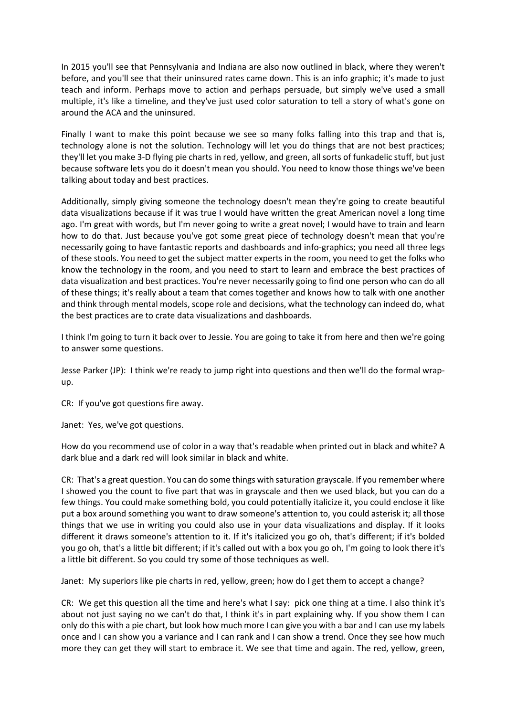In 2015 you'll see that Pennsylvania and Indiana are also now outlined in black, where they weren't before, and you'll see that their uninsured rates came down. This is an info graphic; it's made to just teach and inform. Perhaps move to action and perhaps persuade, but simply we've used a small multiple, it's like a timeline, and they've just used color saturation to tell a story of what's gone on around the ACA and the uninsured.

Finally I want to make this point because we see so many folks falling into this trap and that is, technology alone is not the solution. Technology will let you do things that are not best practices; they'll let you make 3-D flying pie charts in red, yellow, and green, all sorts of funkadelic stuff, but just because software lets you do it doesn't mean you should. You need to know those things we've been talking about today and best practices.

Additionally, simply giving someone the technology doesn't mean they're going to create beautiful data visualizations because if it was true I would have written the great American novel a long time ago. I'm great with words, but I'm never going to write a great novel; I would have to train and learn how to do that. Just because you've got some great piece of technology doesn't mean that you're necessarily going to have fantastic reports and dashboards and info-graphics; you need all three legs of these stools. You need to get the subject matter experts in the room, you need to get the folks who know the technology in the room, and you need to start to learn and embrace the best practices of data visualization and best practices. You're never necessarily going to find one person who can do all of these things; it's really about a team that comes together and knows how to talk with one another and think through mental models, scope role and decisions, what the technology can indeed do, what the best practices are to crate data visualizations and dashboards.

I think I'm going to turn it back over to Jessie. You are going to take it from here and then we're going to answer some questions.

Jesse Parker (JP): I think we're ready to jump right into questions and then we'll do the formal wrapup.

CR: If you've got questions fire away.

Janet: Yes, we've got questions.

How do you recommend use of color in a way that's readable when printed out in black and white? A dark blue and a dark red will look similar in black and white.

CR: That's a great question. You can do some things with saturation grayscale. If you remember where I showed you the count to five part that was in grayscale and then we used black, but you can do a few things. You could make something bold, you could potentially italicize it, you could enclose it like put a box around something you want to draw someone's attention to, you could asterisk it; all those things that we use in writing you could also use in your data visualizations and display. If it looks different it draws someone's attention to it. If it's italicized you go oh, that's different; if it's bolded you go oh, that's a little bit different; if it's called out with a box you go oh, I'm going to look there it's a little bit different. So you could try some of those techniques as well.

Janet: My superiors like pie charts in red, yellow, green; how do I get them to accept a change?

CR: We get this question all the time and here's what I say: pick one thing at a time. I also think it's about not just saying no we can't do that, I think it's in part explaining why. If you show them I can only do this with a pie chart, but look how much more I can give you with a bar and I can use my labels once and I can show you a variance and I can rank and I can show a trend. Once they see how much more they can get they will start to embrace it. We see that time and again. The red, yellow, green,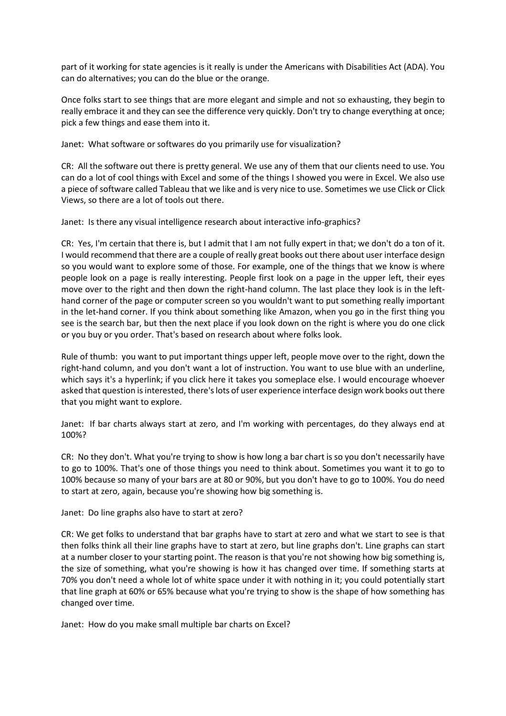part of it working for state agencies is it really is under the Americans with Disabilities Act (ADA). You can do alternatives; you can do the blue or the orange.

Once folks start to see things that are more elegant and simple and not so exhausting, they begin to really embrace it and they can see the difference very quickly. Don't try to change everything at once; pick a few things and ease them into it.

Janet: What software or softwares do you primarily use for visualization?

CR: All the software out there is pretty general. We use any of them that our clients need to use. You can do a lot of cool things with Excel and some of the things I showed you were in Excel. We also use a piece of software called Tableau that we like and is very nice to use. Sometimes we use Click or Click Views, so there are a lot of tools out there.

Janet: Is there any visual intelligence research about interactive info-graphics?

CR: Yes, I'm certain that there is, but I admit that I am not fully expert in that; we don't do a ton of it. I would recommend that there are a couple of really great books out there about user interface design so you would want to explore some of those. For example, one of the things that we know is where people look on a page is really interesting. People first look on a page in the upper left, their eyes move over to the right and then down the right-hand column. The last place they look is in the lefthand corner of the page or computer screen so you wouldn't want to put something really important in the let-hand corner. If you think about something like Amazon, when you go in the first thing you see is the search bar, but then the next place if you look down on the right is where you do one click or you buy or you order. That's based on research about where folks look.

Rule of thumb: you want to put important things upper left, people move over to the right, down the right-hand column, and you don't want a lot of instruction. You want to use blue with an underline, which says it's a hyperlink; if you click here it takes you someplace else. I would encourage whoever asked that question is interested, there's lots of user experience interface design work books out there that you might want to explore.

Janet: If bar charts always start at zero, and I'm working with percentages, do they always end at 100%?

CR: No they don't. What you're trying to show is how long a bar chart is so you don't necessarily have to go to 100%. That's one of those things you need to think about. Sometimes you want it to go to 100% because so many of your bars are at 80 or 90%, but you don't have to go to 100%. You do need to start at zero, again, because you're showing how big something is.

Janet: Do line graphs also have to start at zero?

CR: We get folks to understand that bar graphs have to start at zero and what we start to see is that then folks think all their line graphs have to start at zero, but line graphs don't. Line graphs can start at a number closer to your starting point. The reason is that you're not showing how big something is, the size of something, what you're showing is how it has changed over time. If something starts at 70% you don't need a whole lot of white space under it with nothing in it; you could potentially start that line graph at 60% or 65% because what you're trying to show is the shape of how something has changed over time.

Janet: How do you make small multiple bar charts on Excel?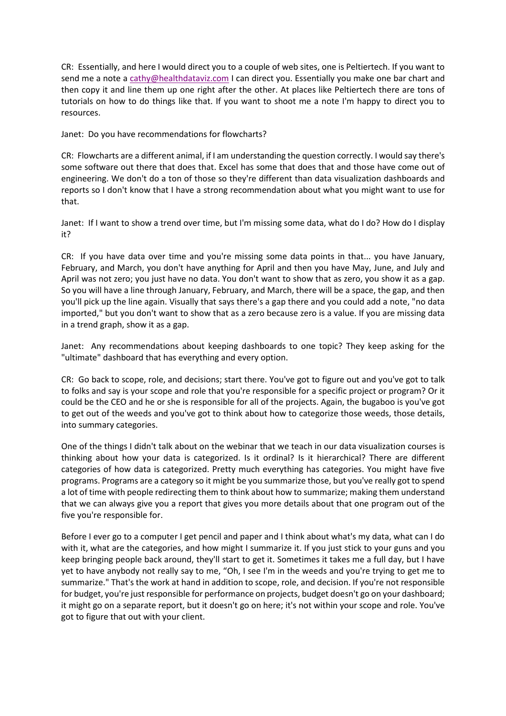CR: Essentially, and here I would direct you to a couple of web sites, one is Peltiertech. If you want to send me a note [a cathy@healthdataviz.com](mailto:cathy@healthdataviz.com) I can direct you. Essentially you make one bar chart and then copy it and line them up one right after the other. At places like Peltiertech there are tons of tutorials on how to do things like that. If you want to shoot me a note I'm happy to direct you to resources.

Janet: Do you have recommendations for flowcharts?

CR: Flowcharts are a different animal, if I am understanding the question correctly. I would say there's some software out there that does that. Excel has some that does that and those have come out of engineering. We don't do a ton of those so they're different than data visualization dashboards and reports so I don't know that I have a strong recommendation about what you might want to use for that.

Janet: If I want to show a trend over time, but I'm missing some data, what do I do? How do I display it?

CR: If you have data over time and you're missing some data points in that... you have January, February, and March, you don't have anything for April and then you have May, June, and July and April was not zero; you just have no data. You don't want to show that as zero, you show it as a gap. So you will have a line through January, February, and March, there will be a space, the gap, and then you'll pick up the line again. Visually that says there's a gap there and you could add a note, "no data imported," but you don't want to show that as a zero because zero is a value. If you are missing data in a trend graph, show it as a gap.

Janet: Any recommendations about keeping dashboards to one topic? They keep asking for the "ultimate" dashboard that has everything and every option.

CR: Go back to scope, role, and decisions; start there. You've got to figure out and you've got to talk to folks and say is your scope and role that you're responsible for a specific project or program? Or it could be the CEO and he or she is responsible for all of the projects. Again, the bugaboo is you've got to get out of the weeds and you've got to think about how to categorize those weeds, those details, into summary categories.

One of the things I didn't talk about on the webinar that we teach in our data visualization courses is thinking about how your data is categorized. Is it ordinal? Is it hierarchical? There are different categories of how data is categorized. Pretty much everything has categories. You might have five programs. Programs are a category so it might be you summarize those, but you've really got to spend a lot of time with people redirecting them to think about how to summarize; making them understand that we can always give you a report that gives you more details about that one program out of the five you're responsible for.

Before I ever go to a computer I get pencil and paper and I think about what's my data, what can I do with it, what are the categories, and how might I summarize it. If you just stick to your guns and you keep bringing people back around, they'll start to get it. Sometimes it takes me a full day, but I have yet to have anybody not really say to me, "Oh, I see I'm in the weeds and you're trying to get me to summarize." That's the work at hand in addition to scope, role, and decision. If you're not responsible for budget, you're just responsible for performance on projects, budget doesn't go on your dashboard; it might go on a separate report, but it doesn't go on here; it's not within your scope and role. You've got to figure that out with your client.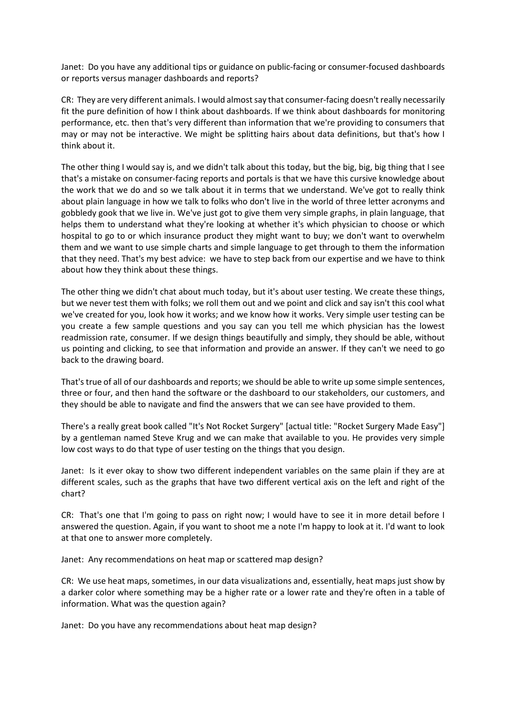Janet: Do you have any additional tips or guidance on public-facing or consumer-focused dashboards or reports versus manager dashboards and reports?

CR: They are very different animals. I would almost say that consumer-facing doesn't really necessarily fit the pure definition of how I think about dashboards. If we think about dashboards for monitoring performance, etc. then that's very different than information that we're providing to consumers that may or may not be interactive. We might be splitting hairs about data definitions, but that's how I think about it.

The other thing I would say is, and we didn't talk about this today, but the big, big, big thing that I see that's a mistake on consumer-facing reports and portals is that we have this cursive knowledge about the work that we do and so we talk about it in terms that we understand. We've got to really think about plain language in how we talk to folks who don't live in the world of three letter acronyms and gobbledy gook that we live in. We've just got to give them very simple graphs, in plain language, that helps them to understand what they're looking at whether it's which physician to choose or which hospital to go to or which insurance product they might want to buy; we don't want to overwhelm them and we want to use simple charts and simple language to get through to them the information that they need. That's my best advice: we have to step back from our expertise and we have to think about how they think about these things.

The other thing we didn't chat about much today, but it's about user testing. We create these things, but we never test them with folks; we roll them out and we point and click and say isn't this cool what we've created for you, look how it works; and we know how it works. Very simple user testing can be you create a few sample questions and you say can you tell me which physician has the lowest readmission rate, consumer. If we design things beautifully and simply, they should be able, without us pointing and clicking, to see that information and provide an answer. If they can't we need to go back to the drawing board.

That's true of all of our dashboards and reports; we should be able to write up some simple sentences, three or four, and then hand the software or the dashboard to our stakeholders, our customers, and they should be able to navigate and find the answers that we can see have provided to them.

There's a really great book called "It's Not Rocket Surgery" [actual title: "Rocket Surgery Made Easy"] by a gentleman named Steve Krug and we can make that available to you. He provides very simple low cost ways to do that type of user testing on the things that you design.

Janet: Is it ever okay to show two different independent variables on the same plain if they are at different scales, such as the graphs that have two different vertical axis on the left and right of the chart?

CR: That's one that I'm going to pass on right now; I would have to see it in more detail before I answered the question. Again, if you want to shoot me a note I'm happy to look at it. I'd want to look at that one to answer more completely.

Janet: Any recommendations on heat map or scattered map design?

CR: We use heat maps, sometimes, in our data visualizations and, essentially, heat maps just show by a darker color where something may be a higher rate or a lower rate and they're often in a table of information. What was the question again?

Janet: Do you have any recommendations about heat map design?